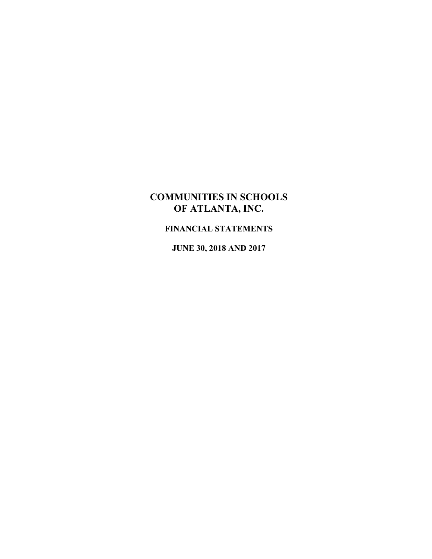## **FINANCIAL STATEMENTS**

**JUNE 30, 2018 AND 2017**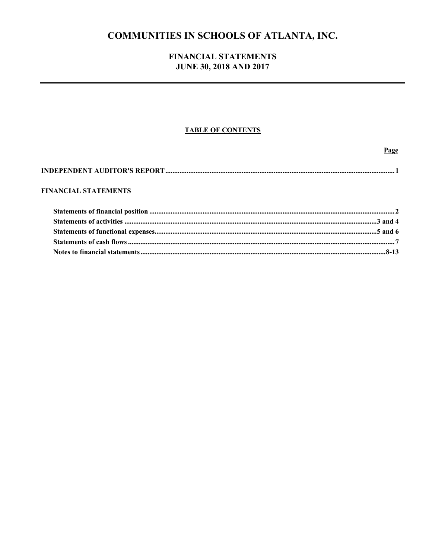## **FINANCIAL STATEMENTS JUNE 30, 2018 AND 2017**

#### **TABLE OF CONTENTS**

|                             | Page |
|-----------------------------|------|
|                             |      |
| <b>FINANCIAL STATEMENTS</b> |      |
|                             |      |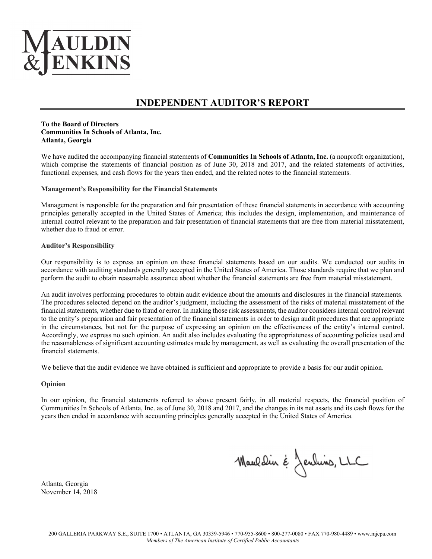

## **INDEPENDENT AUDITOR'S REPORT**

#### **To the Board of Directors Communities In Schools of Atlanta, Inc. Atlanta, Georgia**

We have audited the accompanying financial statements of **Communities In Schools of Atlanta, Inc.** (a nonprofit organization), which comprise the statements of financial position as of June 30, 2018 and 2017, and the related statements of activities, functional expenses, and cash flows for the years then ended, and the related notes to the financial statements.

#### **Management's Responsibility for the Financial Statements**

Management is responsible for the preparation and fair presentation of these financial statements in accordance with accounting principles generally accepted in the United States of America; this includes the design, implementation, and maintenance of internal control relevant to the preparation and fair presentation of financial statements that are free from material misstatement, whether due to fraud or error.

#### **Auditor's Responsibility**

Our responsibility is to express an opinion on these financial statements based on our audits. We conducted our audits in accordance with auditing standards generally accepted in the United States of America. Those standards require that we plan and perform the audit to obtain reasonable assurance about whether the financial statements are free from material misstatement.

An audit involves performing procedures to obtain audit evidence about the amounts and disclosures in the financial statements. The procedures selected depend on the auditor's judgment, including the assessment of the risks of material misstatement of the financial statements, whether due to fraud or error. In making those risk assessments, the auditor considers internal control relevant to the entity's preparation and fair presentation of the financial statements in order to design audit procedures that are appropriate in the circumstances, but not for the purpose of expressing an opinion on the effectiveness of the entity's internal control. Accordingly, we express no such opinion. An audit also includes evaluating the appropriateness of accounting policies used and the reasonableness of significant accounting estimates made by management, as well as evaluating the overall presentation of the financial statements.

We believe that the audit evidence we have obtained is sufficient and appropriate to provide a basis for our audit opinion.

#### **Opinion**

In our opinion, the financial statements referred to above present fairly, in all material respects, the financial position of Communities In Schools of Atlanta, Inc. as of June 30, 2018 and 2017, and the changes in its net assets and its cash flows for the years then ended in accordance with accounting principles generally accepted in the United States of America.

Mauldin & Jenlins, LLC

Atlanta, Georgia November 14, 2018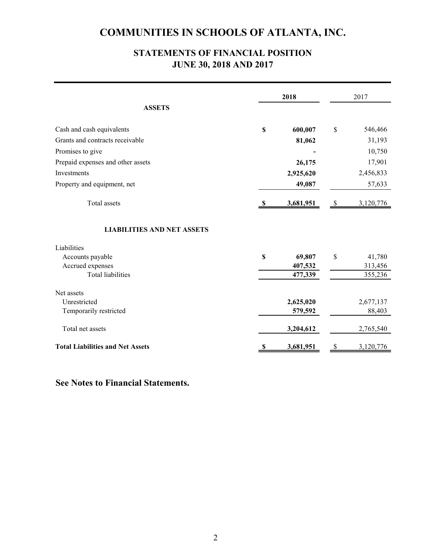## **STATEMENTS OF FINANCIAL POSITION JUNE 30, 2018 AND 2017**

| <b>ASSETS</b>                                                                                                                        | 2018 |                                          |    | 2017                                               |  |  |
|--------------------------------------------------------------------------------------------------------------------------------------|------|------------------------------------------|----|----------------------------------------------------|--|--|
| Cash and cash equivalents<br>Grants and contracts receivable<br>Promises to give<br>Prepaid expenses and other assets<br>Investments | \$   | 600,007<br>81,062<br>26,175<br>2,925,620 | \$ | 546,466<br>31,193<br>10,750<br>17,901<br>2,456,833 |  |  |
| Property and equipment, net<br>Total assets                                                                                          |      | 49,087<br>3,681,951                      |    | 57,633<br>3,120,776                                |  |  |
| <b>LIABILITIES AND NET ASSETS</b>                                                                                                    |      |                                          |    |                                                    |  |  |
| Liabilities<br>Accounts payable<br>Accrued expenses<br><b>Total liabilities</b>                                                      | \$   | 69,807<br>407,532<br>477,339             | \$ | 41,780<br>313,456<br>355,236                       |  |  |
| Net assets<br>Unrestricted<br>Temporarily restricted                                                                                 |      | 2,625,020<br>579,592                     |    | 2,677,137<br>88,403                                |  |  |
| Total net assets<br><b>Total Liabilities and Net Assets</b>                                                                          |      | 3,204,612<br>3,681,951                   |    | 2,765,540<br>3,120,776                             |  |  |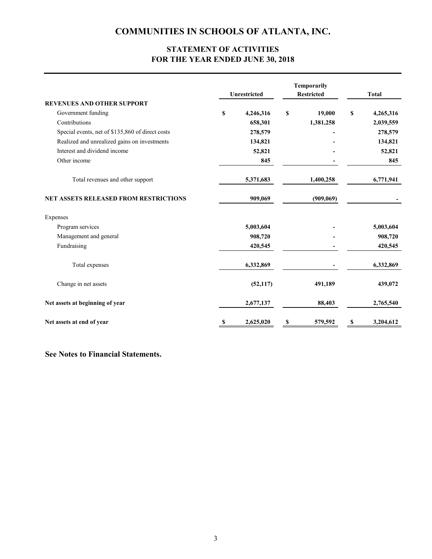## **STATEMENT OF ACTIVITIES FOR THE YEAR ENDED JUNE 30, 2018**

|                                                  |    | <b>Unrestricted</b> | Temporarily<br><b>Restricted</b> |           |    | <b>Total</b> |
|--------------------------------------------------|----|---------------------|----------------------------------|-----------|----|--------------|
| <b>REVENUES AND OTHER SUPPORT</b>                |    |                     |                                  |           |    |              |
| Government funding                               | \$ | 4,246,316           | \$                               | 19,000    | \$ | 4,265,316    |
| Contributions                                    |    | 658,301             |                                  | 1,381,258 |    | 2,039,559    |
| Special events, net of \$135,860 of direct costs |    | 278,579             |                                  |           |    | 278,579      |
| Realized and unrealized gains on investments     |    | 134,821             |                                  |           |    | 134,821      |
| Interest and dividend income                     |    | 52,821              |                                  |           |    | 52,821       |
| Other income                                     |    | 845                 |                                  |           |    | 845          |
| Total revenues and other support                 |    | 5,371,683           |                                  | 1,400,258 |    | 6,771,941    |
| NET ASSETS RELEASED FROM RESTRICTIONS            |    | 909,069             |                                  | (909,069) |    |              |
| Expenses                                         |    |                     |                                  |           |    |              |
| Program services                                 |    | 5,003,604           |                                  |           |    | 5,003,604    |
| Management and general                           |    | 908,720             |                                  |           |    | 908,720      |
| Fundraising                                      |    | 420,545             |                                  |           |    | 420,545      |
| Total expenses                                   |    | 6,332,869           |                                  |           |    | 6,332,869    |
| Change in net assets                             |    | (52, 117)           |                                  | 491,189   |    | 439,072      |
| Net assets at beginning of year                  |    | 2,677,137           |                                  | 88,403    |    | 2,765,540    |
| Net assets at end of year                        | S  | 2,625,020           | S                                | 579,592   | S  | 3,204,612    |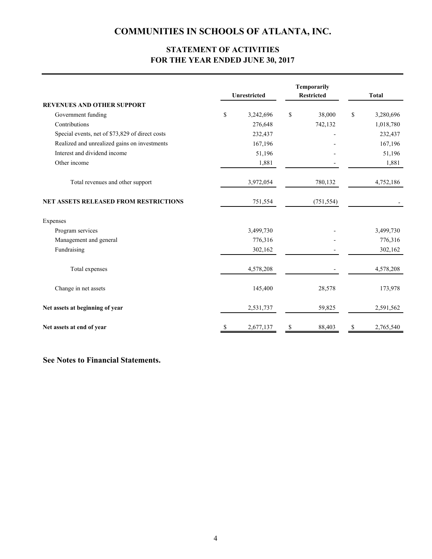## **STATEMENT OF ACTIVITIES FOR THE YEAR ENDED JUNE 30, 2017**

|                                                 |    | Unrestricted | <b>Temporarily</b><br><b>Restricted</b> |            | <b>Total</b>    |
|-------------------------------------------------|----|--------------|-----------------------------------------|------------|-----------------|
| <b>REVENUES AND OTHER SUPPORT</b>               |    |              |                                         |            |                 |
| Government funding                              | \$ | 3,242,696    | \$                                      | 38,000     | \$<br>3,280,696 |
| Contributions                                   |    | 276,648      |                                         | 742,132    | 1,018,780       |
| Special events, net of \$73,829 of direct costs |    | 232,437      |                                         |            | 232,437         |
| Realized and unrealized gains on investments    |    | 167,196      |                                         |            | 167,196         |
| Interest and dividend income                    |    | 51,196       |                                         |            | 51,196          |
| Other income                                    |    | 1,881        |                                         |            | 1,881           |
| Total revenues and other support                |    | 3,972,054    |                                         | 780,132    | 4,752,186       |
| NET ASSETS RELEASED FROM RESTRICTIONS           |    | 751,554      |                                         | (751, 554) |                 |
| Expenses                                        |    |              |                                         |            |                 |
| Program services                                |    | 3,499,730    |                                         |            | 3,499,730       |
| Management and general                          |    | 776,316      |                                         |            | 776,316         |
| Fundraising                                     |    | 302,162      |                                         |            | 302,162         |
| Total expenses                                  |    | 4,578,208    |                                         |            | 4,578,208       |
| Change in net assets                            |    | 145,400      |                                         | 28,578     | 173,978         |
| Net assets at beginning of year                 |    | 2,531,737    |                                         | 59,825     | 2,591,562       |
| Net assets at end of year                       | S  | 2,677,137    | \$                                      | 88,403     | \$<br>2,765,540 |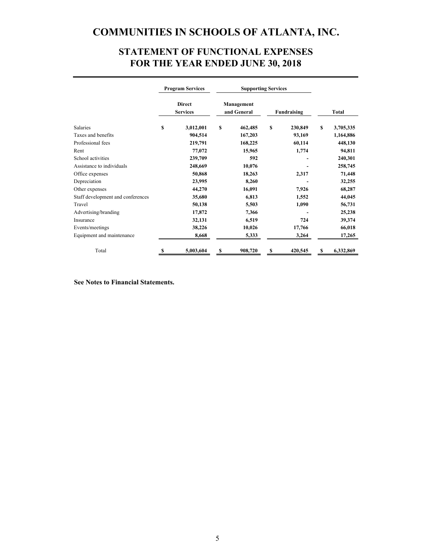## **STATEMENT OF FUNCTIONAL EXPENSES FOR THE YEAR ENDED JUNE 30, 2018**

|                                   | <b>Program Services</b>          |                           |         | <b>Supporting Services</b> |         |    |           |  |
|-----------------------------------|----------------------------------|---------------------------|---------|----------------------------|---------|----|-----------|--|
|                                   | <b>Direct</b><br><b>Services</b> | Management<br>and General |         | Fundraising                |         |    | Total     |  |
| <b>Salaries</b>                   | \$<br>3,012,001                  | S                         | 462,485 | S                          | 230,849 | S  | 3,705,335 |  |
| Taxes and benefits                | 904,514                          |                           | 167,203 |                            | 93,169  |    | 1,164,886 |  |
| Professional fees                 | 219,791                          |                           | 168,225 |                            | 60,114  |    | 448,130   |  |
| Rent                              | 77,072                           |                           | 15,965  |                            | 1,774   |    | 94,811    |  |
| School activities                 | 239,709                          |                           | 592     |                            |         |    | 240,301   |  |
| Assistance to individuals         | 248,669                          |                           | 10,076  |                            |         |    | 258,745   |  |
| Office expenses                   | 50,868                           |                           | 18,263  |                            | 2,317   |    | 71,448    |  |
| Depreciation                      | 23,995                           |                           | 8,260   |                            |         |    | 32,255    |  |
| Other expenses                    | 44,270                           |                           | 16,091  |                            | 7,926   |    | 68,287    |  |
| Staff development and conferences | 35,680                           |                           | 6,813   |                            | 1,552   |    | 44,045    |  |
| Travel                            | 50,138                           |                           | 5,503   |                            | 1,090   |    | 56,731    |  |
| Advertising/branding              | 17,872                           |                           | 7,366   |                            |         |    | 25,238    |  |
| Insurance                         | 32,131                           |                           | 6,519   |                            | 724     |    | 39,374    |  |
| Events/meetings                   | 38,226                           |                           | 10,026  |                            | 17,766  |    | 66,018    |  |
| Equipment and maintenance         | 8,668                            |                           | 5,333   |                            | 3,264   |    | 17,265    |  |
| Total                             | \$<br>5,003,604                  | \$                        | 908,720 | \$                         | 420,545 | \$ | 6,332,869 |  |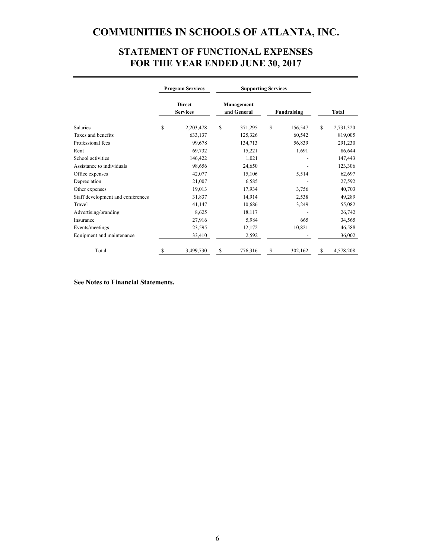## **STATEMENT OF FUNCTIONAL EXPENSES FOR THE YEAR ENDED JUNE 30, 2017**

|                                   | <b>Program Services</b>          | Management<br>and General |         | <b>Supporting Services</b> |         |              |           |
|-----------------------------------|----------------------------------|---------------------------|---------|----------------------------|---------|--------------|-----------|
|                                   | <b>Direct</b><br><b>Services</b> |                           |         | Fundraising                |         |              | Total     |
| <b>Salaries</b>                   | \$<br>2,203,478                  | \$                        | 371,295 | $\mathbb{S}$               | 156,547 | $\mathbb{S}$ | 2,731,320 |
| Taxes and benefits                | 633,137                          |                           | 125,326 |                            | 60,542  |              | 819,005   |
| Professional fees                 | 99,678                           |                           | 134,713 |                            | 56,839  |              | 291,230   |
| Rent                              | 69,732                           |                           | 15,221  |                            | 1,691   |              | 86,644    |
| School activities                 | 146,422                          |                           | 1,021   |                            |         |              | 147,443   |
| Assistance to individuals         | 98,656                           |                           | 24,650  |                            |         |              | 123,306   |
| Office expenses                   | 42,077                           |                           | 15,106  |                            | 5,514   |              | 62,697    |
| Depreciation                      | 21,007                           |                           | 6,585   |                            |         |              | 27,592    |
| Other expenses                    | 19,013                           |                           | 17,934  |                            | 3,756   |              | 40,703    |
| Staff development and conferences | 31,837                           |                           | 14,914  |                            | 2,538   |              | 49,289    |
| Travel                            | 41,147                           |                           | 10,686  |                            | 3,249   |              | 55,082    |
| Advertising/branding              | 8,625                            |                           | 18,117  |                            |         |              | 26,742    |
| Insurance                         | 27,916                           |                           | 5,984   |                            | 665     |              | 34,565    |
| Events/meetings                   | 23,595                           |                           | 12,172  |                            | 10,821  |              | 46,588    |
| Equipment and maintenance         | 33,410                           |                           | 2,592   |                            |         |              | 36,002    |
| Total                             | \$<br>3,499,730                  | \$                        | 776,316 | \$                         | 302,162 | \$           | 4,578,208 |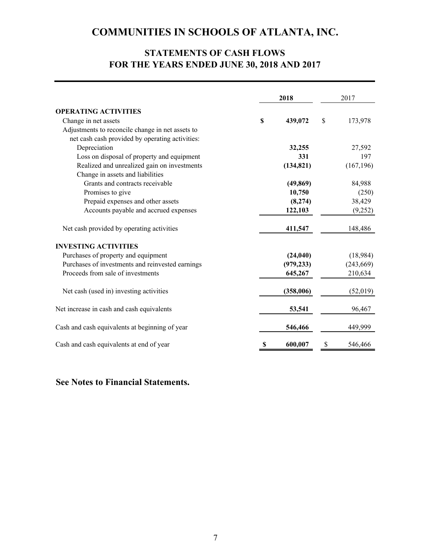# **STATEMENTS OF CASH FLOWS FOR THE YEARS ENDED JUNE 30, 2018 AND 2017**

|                                                  |                           | 2018       | 2017          |
|--------------------------------------------------|---------------------------|------------|---------------|
| <b>OPERATING ACTIVITIES</b>                      |                           |            |               |
| Change in net assets                             | $\boldsymbol{\mathsf{S}}$ | 439,072    | \$<br>173,978 |
| Adjustments to reconcile change in net assets to |                           |            |               |
| net cash cash provided by operating activities:  |                           |            |               |
| Depreciation                                     |                           | 32,255     | 27,592        |
| Loss on disposal of property and equipment       |                           | 331        | 197           |
| Realized and unrealized gain on investments      |                           | (134, 821) | (167, 196)    |
| Change in assets and liabilities                 |                           |            |               |
| Grants and contracts receivable                  |                           | (49, 869)  | 84,988        |
| Promises to give                                 |                           | 10,750     | (250)         |
| Prepaid expenses and other assets                |                           | (8,274)    | 38,429        |
| Accounts payable and accrued expenses            |                           | 122,103    | (9,252)       |
| Net cash provided by operating activities        |                           | 411,547    | 148,486       |
| <b>INVESTING ACTIVITIES</b>                      |                           |            |               |
| Purchases of property and equipment              |                           | (24, 040)  | (18,984)      |
| Purchases of investments and reinvested earnings |                           | (979, 233) | (243, 669)    |
| Proceeds from sale of investments                |                           | 645,267    | 210,634       |
| Net cash (used in) investing activities          |                           | (358,006)  | (52,019)      |
| Net increase in cash and cash equivalents        |                           | 53,541     | 96,467        |
| Cash and cash equivalents at beginning of year   |                           | 546,466    | 449,999       |
| Cash and cash equivalents at end of year         | \$                        | 600,007    | \$<br>546,466 |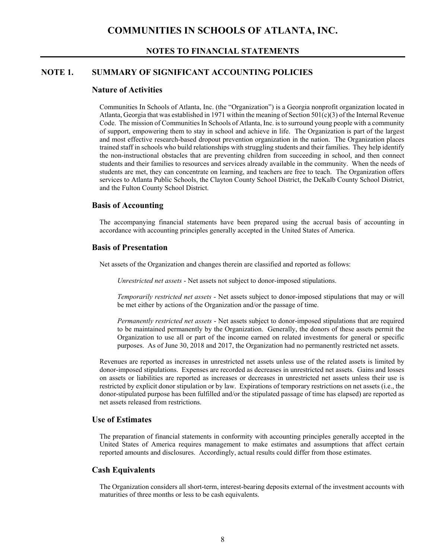#### **NOTES TO FINANCIAL STATEMENTS**

#### **NOTE 1. SUMMARY OF SIGNIFICANT ACCOUNTING POLICIES**

#### **Nature of Activities**

Communities In Schools of Atlanta, Inc. (the "Organization") is a Georgia nonprofit organization located in Atlanta, Georgia that was established in 1971 within the meaning of Section  $501(c)(3)$  of the Internal Revenue Code. The mission of Communities In Schools of Atlanta, Inc. is to surround young people with a community of support, empowering them to stay in school and achieve in life. The Organization is part of the largest and most effective research-based dropout prevention organization in the nation. The Organization places trained staff in schools who build relationships with struggling students and their families. They help identify the non-instructional obstacles that are preventing children from succeeding in school, and then connect students and their families to resources and services already available in the community. When the needs of students are met, they can concentrate on learning, and teachers are free to teach. The Organization offers services to Atlanta Public Schools, the Clayton County School District, the DeKalb County School District, and the Fulton County School District.

#### **Basis of Accounting**

The accompanying financial statements have been prepared using the accrual basis of accounting in accordance with accounting principles generally accepted in the United States of America.

#### **Basis of Presentation**

Net assets of the Organization and changes therein are classified and reported as follows:

*Unrestricted net assets* - Net assets not subject to donor-imposed stipulations.

*Temporarily restricted net assets* - Net assets subject to donor-imposed stipulations that may or will be met either by actions of the Organization and/or the passage of time.

*Permanently restricted net assets* - Net assets subject to donor-imposed stipulations that are required to be maintained permanently by the Organization. Generally, the donors of these assets permit the Organization to use all or part of the income earned on related investments for general or specific purposes. As of June 30, 2018 and 2017, the Organization had no permanently restricted net assets.

Revenues are reported as increases in unrestricted net assets unless use of the related assets is limited by donor-imposed stipulations. Expenses are recorded as decreases in unrestricted net assets. Gains and losses on assets or liabilities are reported as increases or decreases in unrestricted net assets unless their use is restricted by explicit donor stipulation or by law. Expirations of temporary restrictions on net assets (i.e., the donor-stipulated purpose has been fulfilled and/or the stipulated passage of time has elapsed) are reported as net assets released from restrictions.

#### **Use of Estimates**

The preparation of financial statements in conformity with accounting principles generally accepted in the United States of America requires management to make estimates and assumptions that affect certain reported amounts and disclosures. Accordingly, actual results could differ from those estimates.

#### **Cash Equivalents**

The Organization considers all short-term, interest-bearing deposits external of the investment accounts with maturities of three months or less to be cash equivalents.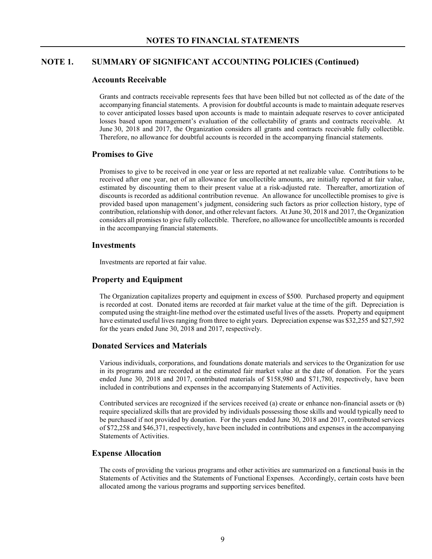#### **NOTE 1. SUMMARY OF SIGNIFICANT ACCOUNTING POLICIES (Continued)**

#### **Accounts Receivable**

Grants and contracts receivable represents fees that have been billed but not collected as of the date of the accompanying financial statements. A provision for doubtful accounts is made to maintain adequate reserves to cover anticipated losses based upon accounts is made to maintain adequate reserves to cover anticipated losses based upon management's evaluation of the collectability of grants and contracts receivable. At June 30, 2018 and 2017, the Organization considers all grants and contracts receivable fully collectible. Therefore, no allowance for doubtful accounts is recorded in the accompanying financial statements.

#### **Promises to Give**

Promises to give to be received in one year or less are reported at net realizable value. Contributions to be received after one year, net of an allowance for uncollectible amounts, are initially reported at fair value, estimated by discounting them to their present value at a risk-adjusted rate. Thereafter, amortization of discounts is recorded as additional contribution revenue. An allowance for uncollectible promises to give is provided based upon management's judgment, considering such factors as prior collection history, type of contribution, relationship with donor, and other relevant factors. At June 30, 2018 and 2017, the Organization considers all promises to give fully collectible. Therefore, no allowance for uncollectible amounts is recorded in the accompanying financial statements.

#### **Investments**

Investments are reported at fair value.

#### **Property and Equipment**

The Organization capitalizes property and equipment in excess of \$500. Purchased property and equipment is recorded at cost. Donated items are recorded at fair market value at the time of the gift. Depreciation is computed using the straight-line method over the estimated useful lives of the assets. Property and equipment have estimated useful lives ranging from three to eight years. Depreciation expense was \$32,255 and \$27,592 for the years ended June 30, 2018 and 2017, respectively.

#### **Donated Services and Materials**

Various individuals, corporations, and foundations donate materials and services to the Organization for use in its programs and are recorded at the estimated fair market value at the date of donation. For the years ended June 30, 2018 and 2017, contributed materials of \$158,980 and \$71,780, respectively, have been included in contributions and expenses in the accompanying Statements of Activities.

Contributed services are recognized if the services received (a) create or enhance non-financial assets or (b) require specialized skills that are provided by individuals possessing those skills and would typically need to be purchased if not provided by donation. For the years ended June 30, 2018 and 2017, contributed services of \$72,258 and \$46,371, respectively, have been included in contributions and expenses in the accompanying Statements of Activities.

#### **Expense Allocation**

The costs of providing the various programs and other activities are summarized on a functional basis in the Statements of Activities and the Statements of Functional Expenses. Accordingly, certain costs have been allocated among the various programs and supporting services benefited.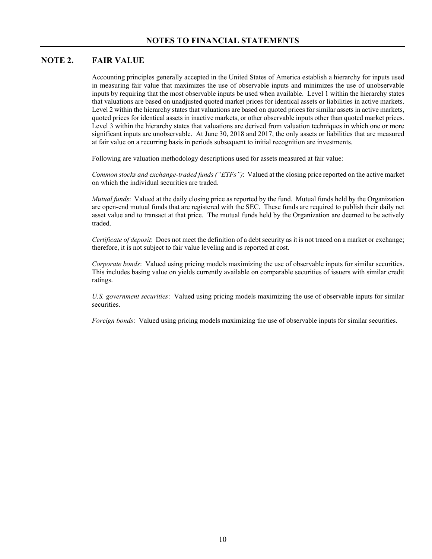### **NOTE 2. FAIR VALUE**

Accounting principles generally accepted in the United States of America establish a hierarchy for inputs used in measuring fair value that maximizes the use of observable inputs and minimizes the use of unobservable inputs by requiring that the most observable inputs be used when available. Level 1 within the hierarchy states that valuations are based on unadjusted quoted market prices for identical assets or liabilities in active markets. Level 2 within the hierarchy states that valuations are based on quoted prices for similar assets in active markets, quoted prices for identical assets in inactive markets, or other observable inputs other than quoted market prices. Level 3 within the hierarchy states that valuations are derived from valuation techniques in which one or more significant inputs are unobservable. At June 30, 2018 and 2017, the only assets or liabilities that are measured at fair value on a recurring basis in periods subsequent to initial recognition are investments.

Following are valuation methodology descriptions used for assets measured at fair value:

*Common stocks and exchange-traded funds ("ETFs")*: Valued at the closing price reported on the active market on which the individual securities are traded.

*Mutual funds*: Valued at the daily closing price as reported by the fund. Mutual funds held by the Organization are open-end mutual funds that are registered with the SEC. These funds are required to publish their daily net asset value and to transact at that price. The mutual funds held by the Organization are deemed to be actively traded.

*Certificate of deposit*: Does not meet the definition of a debt security as it is not traced on a market or exchange; therefore, it is not subject to fair value leveling and is reported at cost.

*Corporate bonds*: Valued using pricing models maximizing the use of observable inputs for similar securities. This includes basing value on yields currently available on comparable securities of issuers with similar credit ratings.

*U.S. government securities*: Valued using pricing models maximizing the use of observable inputs for similar securities.

*Foreign bonds*: Valued using pricing models maximizing the use of observable inputs for similar securities.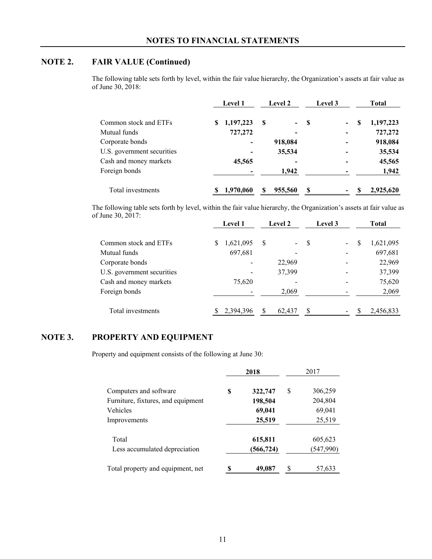## **NOTE 2. FAIR VALUE (Continued)**

The following table sets forth by level, within the fair value hierarchy, the Organization's assets at fair value as of June 30, 2018:

|                            |   | <b>Level 1</b>           |    | Level 2    |     | Level 3        |   | <b>Total</b> |
|----------------------------|---|--------------------------|----|------------|-----|----------------|---|--------------|
| Common stock and ETFs      | S | 1,197,223                | -8 | $\sim$ $-$ | - S | $\blacksquare$ | S | 1,197,223    |
| Mutual funds               |   | 727,272                  |    |            |     |                |   | 727,272      |
| Corporate bonds            |   |                          |    | 918,084    |     |                |   | 918,084      |
| U.S. government securities |   | $\overline{\phantom{0}}$ |    | 35,534     |     | -              |   | 35,534       |
| Cash and money markets     |   | 45,565                   |    |            |     |                |   | 45,565       |
| Foreign bonds              |   |                          |    | 1,942      |     |                |   | 1,942        |
| Total investments          |   | 1,970,060                |    | 955,560    | S   |                |   | 2,925,620    |

The following table sets forth by level, within the fair value hierarchy, the Organization's assets at fair value as of June 30, 2017:

|                            | <b>Level 1</b> | Level 2     | Level 3                        | <b>Total</b> |
|----------------------------|----------------|-------------|--------------------------------|--------------|
| Common stock and ETFs      | 1,621,095      | S<br>$\sim$ | -S<br>$\overline{\phantom{a}}$ | 1,621,095    |
| Mutual funds               | 697,681        |             | $\overline{\phantom{a}}$       | 697,681      |
| Corporate bonds            |                | 22,969      |                                | 22,969       |
| U.S. government securities |                | 37,399      | -                              | 37,399       |
| Cash and money markets     | 75,620         |             |                                | 75,620       |
| Foreign bonds              |                | 2,069       |                                | 2,069        |
| Total investments          | 2,394,396      | 62,437      |                                | 2,456,833    |

## **NOTE 3. PROPERTY AND EQUIPMENT**

Property and equipment consists of the following at June 30:

|                                    |   | 2018       | 2017 |           |  |
|------------------------------------|---|------------|------|-----------|--|
| Computers and software             | S | 322,747    | S    | 306,259   |  |
| Furniture, fixtures, and equipment |   | 198,504    |      | 204,804   |  |
| Vehicles                           |   | 69,041     |      | 69,041    |  |
| Improvements                       |   | 25,519     |      | 25,519    |  |
| Total                              |   | 615,811    |      | 605,623   |  |
| Less accumulated depreciation      |   | (566, 724) |      | (547,990) |  |
| Total property and equipment, net  |   | 49,087     | S    | 57,633    |  |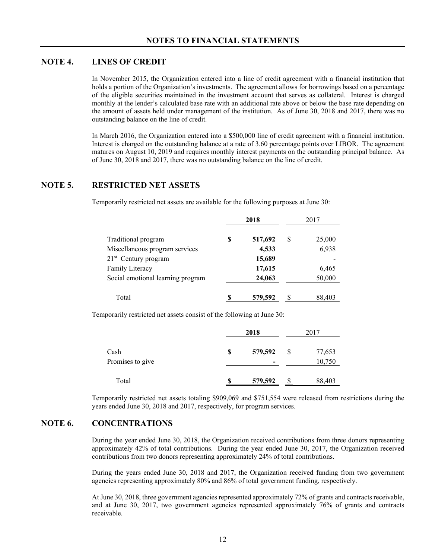### **NOTE 4. LINES OF CREDIT**

In November 2015, the Organization entered into a line of credit agreement with a financial institution that holds a portion of the Organization's investments. The agreement allows for borrowings based on a percentage of the eligible securities maintained in the investment account that serves as collateral. Interest is charged monthly at the lender's calculated base rate with an additional rate above or below the base rate depending on the amount of assets held under management of the institution. As of June 30, 2018 and 2017, there was no outstanding balance on the line of credit.

In March 2016, the Organization entered into a \$500,000 line of credit agreement with a financial institution. Interest is charged on the outstanding balance at a rate of 3.60 percentage points over LIBOR. The agreement matures on August 10, 2019 and requires monthly interest payments on the outstanding principal balance. As of June 30, 2018 and 2017, there was no outstanding balance on the line of credit.

#### **NOTE 5. RESTRICTED NET ASSETS**

Temporarily restricted net assets are available for the following purposes at June 30:

|                                   |   | 2018    | 2017 |        |  |
|-----------------------------------|---|---------|------|--------|--|
| Traditional program               | S | 517,692 | S    | 25,000 |  |
| Miscellaneous program services    |   | 4,533   |      | 6,938  |  |
| $21st$ Century program            |   | 15,689  |      |        |  |
| Family Literacy                   |   | 17,615  |      | 6,465  |  |
| Social emotional learning program |   | 24,063  |      | 50,000 |  |
| Total                             | S | 579,592 | S    | 88,403 |  |

Temporarily restricted net assets consist of the following at June 30:

|                          | 2018 |                                     | 2017 |                  |
|--------------------------|------|-------------------------------------|------|------------------|
| Cash<br>Promises to give | S    | 579,592<br>$\overline{\phantom{0}}$ |      | 77,653<br>10,750 |
| Total                    |      | 579,592                             |      | 88,403           |

Temporarily restricted net assets totaling \$909,069 and \$751,554 were released from restrictions during the years ended June 30, 2018 and 2017, respectively, for program services.

#### **NOTE 6. CONCENTRATIONS**

During the year ended June 30, 2018, the Organization received contributions from three donors representing approximately 42% of total contributions. During the year ended June 30, 2017, the Organization received contributions from two donors representing approximately 24% of total contributions.

During the years ended June 30, 2018 and 2017, the Organization received funding from two government agencies representing approximately 80% and 86% of total government funding, respectively.

At June 30, 2018, three government agencies represented approximately 72% of grants and contracts receivable, and at June 30, 2017, two government agencies represented approximately 76% of grants and contracts receivable.